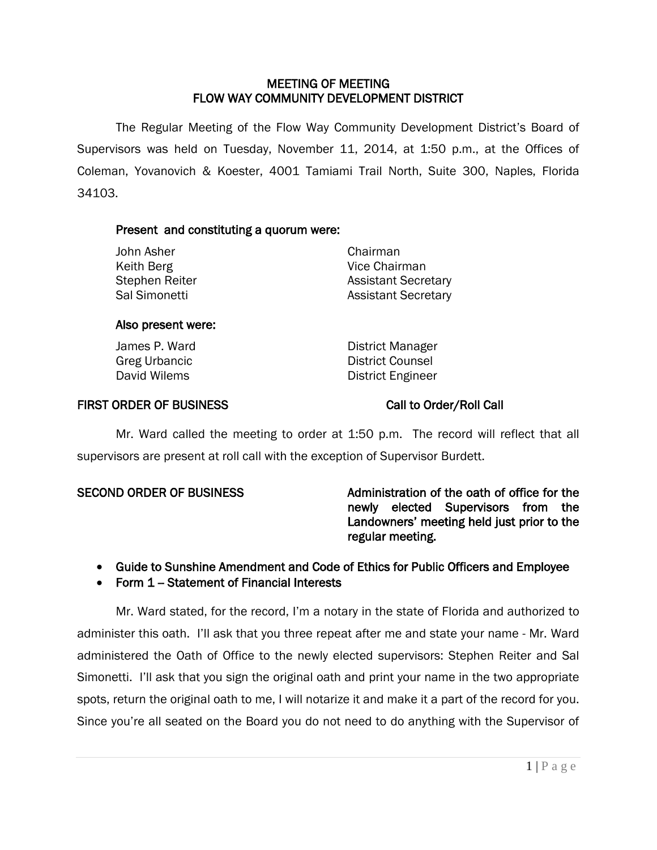# MEETING OF MEETING FLOW WAY COMMUNITY DEVELOPMENT DISTRICT

 The Regular Meeting of the Flow Way Community Development District's Board of Supervisors was held on Tuesday, November 11, 2014, at 1:50 p.m., at the Offices of Coleman, Yovanovich & Koester, 4001 Tamiami Trail North, Suite 300, Naples, Florida 34103.

# Present and constituting a quorum were:

| John Asher     | Chairman                   |
|----------------|----------------------------|
| Keith Berg     | Vice Chairman              |
| Stephen Reiter | <b>Assistant Secretary</b> |
| Sal Simonetti  | <b>Assistant Secretary</b> |
|                |                            |

## Also present were:

James P. Ward District Manager Greg Urbancic **District Counsel** David Wilems **District Engineer** 

# FIRST ORDER OF BUSINESS Call to Order/Roll Call

Mr. Ward called the meeting to order at 1:50 p.m. The record will reflect that all supervisors are present at roll call with the exception of Supervisor Burdett.

SECOND ORDER OF BUSINESS Administration of the oath of office for the newly elected Supervisors from the Landowners' meeting held just prior to the regular meeting.

- Guide to Sunshine Amendment and Code of Ethics for Public Officers and Employee
- Form 1 Statement of Financial Interests

Mr. Ward stated, for the record, I'm a notary in the state of Florida and authorized to administer this oath. I'll ask that you three repeat after me and state your name - Mr. Ward administered the Oath of Office to the newly elected supervisors: Stephen Reiter and Sal Simonetti. I'll ask that you sign the original oath and print your name in the two appropriate spots, return the original oath to me, I will notarize it and make it a part of the record for you. Since you're all seated on the Board you do not need to do anything with the Supervisor of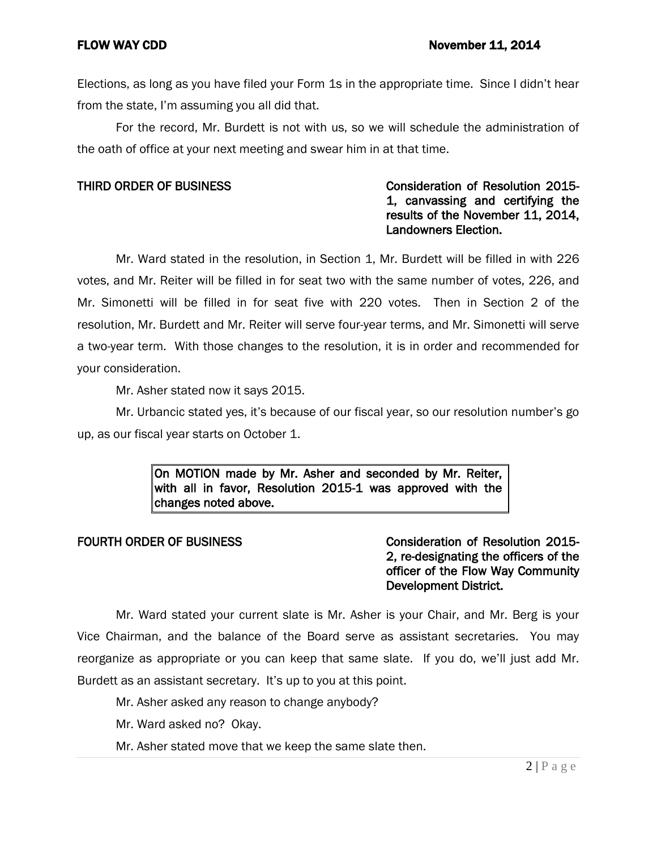Elections, as long as you have filed your Form 1s in the appropriate time. Since I didn't hear from the state, I'm assuming you all did that.

For the record, Mr. Burdett is not with us, so we will schedule the administration of the oath of office at your next meeting and swear him in at that time.

# THIRD ORDER OF BUSINESS **Consideration of Resolution 2015-**1, canvassing and certifying the results of the November 11, 2014, Landowners Election.

Mr. Ward stated in the resolution, in Section 1, Mr. Burdett will be filled in with 226 votes, and Mr. Reiter will be filled in for seat two with the same number of votes, 226, and Mr. Simonetti will be filled in for seat five with 220 votes. Then in Section 2 of the resolution, Mr. Burdett and Mr. Reiter will serve four-year terms, and Mr. Simonetti will serve a two-year term. With those changes to the resolution, it is in order and recommended for your consideration.

Mr. Asher stated now it says 2015.

Mr. Urbancic stated yes, it's because of our fiscal year, so our resolution number's go up, as our fiscal year starts on October 1.

> On MOTION made by Mr. Asher and seconded by Mr. Reiter, with all in favor, Resolution 2015-1 was approved with the changes noted above.

# FOURTH ORDER OF BUSINESS **CONSIDER CONSIDER A CONSIDER A CONSIDER A CONSIDER A CONSIDER A CONSIDER A CONSIDER** 2, re-designating the officers of the officer of the Flow Way Community Development District.

Mr. Ward stated your current slate is Mr. Asher is your Chair, and Mr. Berg is your Vice Chairman, and the balance of the Board serve as assistant secretaries. You may reorganize as appropriate or you can keep that same slate. If you do, we'll just add Mr. Burdett as an assistant secretary. It's up to you at this point.

- Mr. Asher asked any reason to change anybody?
- Mr. Ward asked no? Okay.
- Mr. Asher stated move that we keep the same slate then.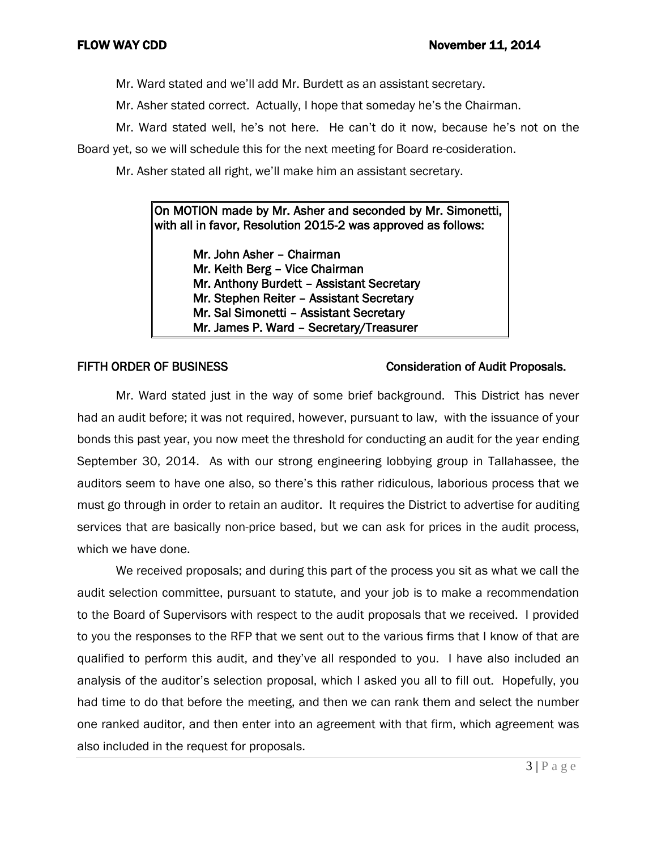Mr. Ward stated and we'll add Mr. Burdett as an assistant secretary.

Mr. Asher stated correct. Actually, I hope that someday he's the Chairman.

Mr. Ward stated well, he's not here. He can't do it now, because he's not on the Board yet, so we will schedule this for the next meeting for Board re-cosideration.

Mr. Asher stated all right, we'll make him an assistant secretary.

# On MOTION made by Mr. Asher and seconded by Mr. Simonetti, with all in favor, Resolution 2015-2 was approved as follows:

 Mr. John Asher – Chairman Mr. Keith Berg – Vice Chairman Mr. Anthony Burdett – Assistant Secretary Mr. Stephen Reiter – Assistant Secretary Mr. Sal Simonetti – Assistant Secretary Mr. James P. Ward – Secretary/Treasurer

# FIFTH ORDER OF BUSINESS CONSIDERATION OF Audit Proposals.

Mr. Ward stated just in the way of some brief background. This District has never had an audit before; it was not required, however, pursuant to law, with the issuance of your bonds this past year, you now meet the threshold for conducting an audit for the year ending September 30, 2014. As with our strong engineering lobbying group in Tallahassee, the auditors seem to have one also, so there's this rather ridiculous, laborious process that we must go through in order to retain an auditor. It requires the District to advertise for auditing services that are basically non-price based, but we can ask for prices in the audit process, which we have done.

We received proposals; and during this part of the process you sit as what we call the audit selection committee, pursuant to statute, and your job is to make a recommendation to the Board of Supervisors with respect to the audit proposals that we received. I provided to you the responses to the RFP that we sent out to the various firms that I know of that are qualified to perform this audit, and they've all responded to you. I have also included an analysis of the auditor's selection proposal, which I asked you all to fill out. Hopefully, you had time to do that before the meeting, and then we can rank them and select the number one ranked auditor, and then enter into an agreement with that firm, which agreement was also included in the request for proposals.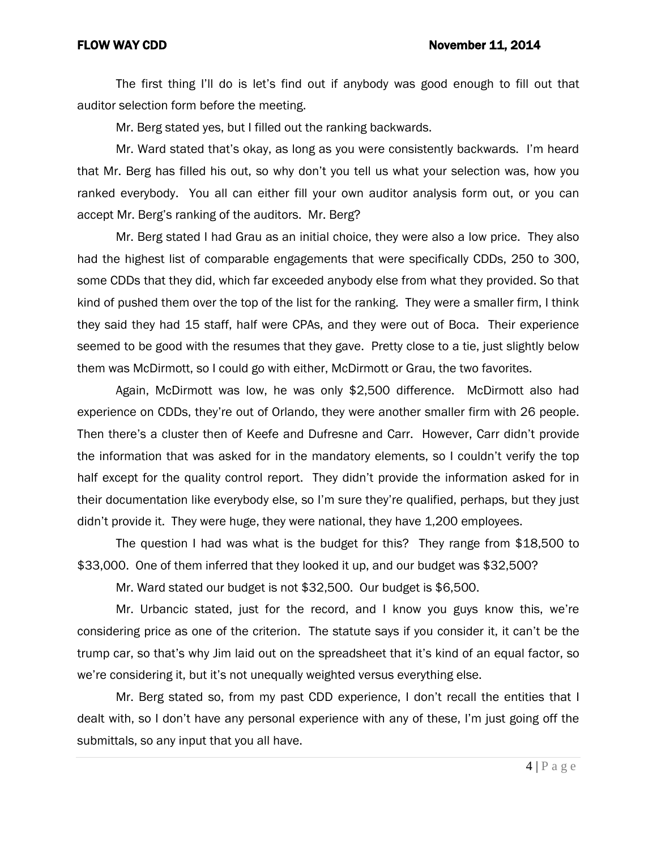The first thing I'll do is let's find out if anybody was good enough to fill out that auditor selection form before the meeting.

Mr. Berg stated yes, but I filled out the ranking backwards.

Mr. Ward stated that's okay, as long as you were consistently backwards. I'm heard that Mr. Berg has filled his out, so why don't you tell us what your selection was, how you ranked everybody. You all can either fill your own auditor analysis form out, or you can accept Mr. Berg's ranking of the auditors. Mr. Berg?

Mr. Berg stated I had Grau as an initial choice, they were also a low price. They also had the highest list of comparable engagements that were specifically CDDs, 250 to 300, some CDDs that they did, which far exceeded anybody else from what they provided. So that kind of pushed them over the top of the list for the ranking. They were a smaller firm, I think they said they had 15 staff, half were CPAs, and they were out of Boca. Their experience seemed to be good with the resumes that they gave. Pretty close to a tie, just slightly below them was McDirmott, so I could go with either, McDirmott or Grau, the two favorites.

Again, McDirmott was low, he was only \$2,500 difference. McDirmott also had experience on CDDs, they're out of Orlando, they were another smaller firm with 26 people. Then there's a cluster then of Keefe and Dufresne and Carr. However, Carr didn't provide the information that was asked for in the mandatory elements, so I couldn't verify the top half except for the quality control report. They didn't provide the information asked for in their documentation like everybody else, so I'm sure they're qualified, perhaps, but they just didn't provide it. They were huge, they were national, they have 1,200 employees.

The question I had was what is the budget for this? They range from \$18,500 to \$33,000. One of them inferred that they looked it up, and our budget was \$32,500?

Mr. Ward stated our budget is not \$32,500. Our budget is \$6,500.

Mr. Urbancic stated, just for the record, and I know you guys know this, we're considering price as one of the criterion. The statute says if you consider it, it can't be the trump car, so that's why Jim laid out on the spreadsheet that it's kind of an equal factor, so we're considering it, but it's not unequally weighted versus everything else.

Mr. Berg stated so, from my past CDD experience, I don't recall the entities that I dealt with, so I don't have any personal experience with any of these, I'm just going off the submittals, so any input that you all have.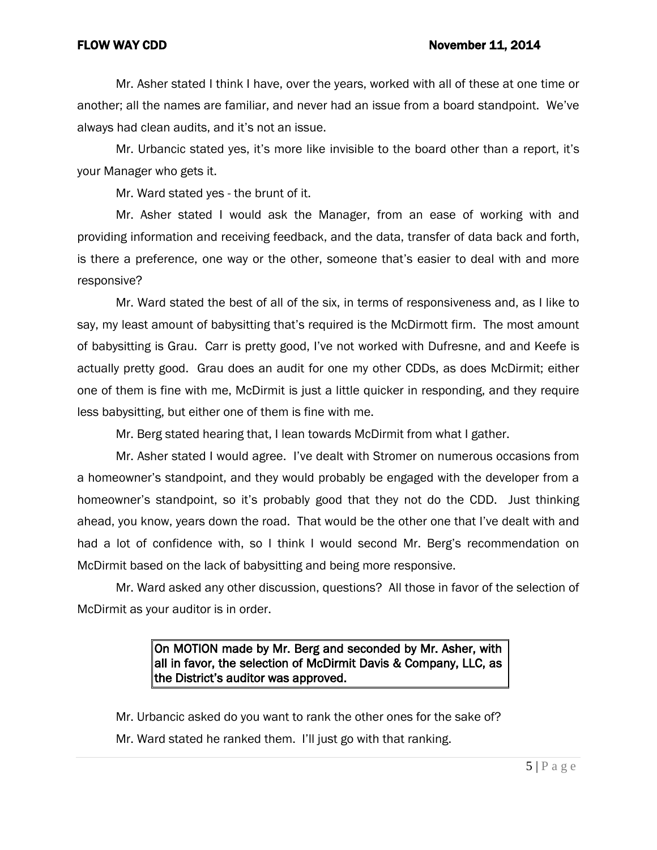### FLOW WAY CDD **November 11, 2014**

Mr. Asher stated I think I have, over the years, worked with all of these at one time or another; all the names are familiar, and never had an issue from a board standpoint. We've always had clean audits, and it's not an issue.

Mr. Urbancic stated yes, it's more like invisible to the board other than a report, it's your Manager who gets it.

Mr. Ward stated yes - the brunt of it.

Mr. Asher stated I would ask the Manager, from an ease of working with and providing information and receiving feedback, and the data, transfer of data back and forth, is there a preference, one way or the other, someone that's easier to deal with and more responsive?

Mr. Ward stated the best of all of the six, in terms of responsiveness and, as I like to say, my least amount of babysitting that's required is the McDirmott firm. The most amount of babysitting is Grau. Carr is pretty good, I've not worked with Dufresne, and and Keefe is actually pretty good. Grau does an audit for one my other CDDs, as does McDirmit; either one of them is fine with me, McDirmit is just a little quicker in responding, and they require less babysitting, but either one of them is fine with me.

Mr. Berg stated hearing that, I lean towards McDirmit from what I gather.

Mr. Asher stated I would agree. I've dealt with Stromer on numerous occasions from a homeowner's standpoint, and they would probably be engaged with the developer from a homeowner's standpoint, so it's probably good that they not do the CDD. Just thinking ahead, you know, years down the road. That would be the other one that I've dealt with and had a lot of confidence with, so I think I would second Mr. Berg's recommendation on McDirmit based on the lack of babysitting and being more responsive.

Mr. Ward asked any other discussion, questions? All those in favor of the selection of McDirmit as your auditor is in order.

# On MOTION made by Mr. Berg and seconded by Mr. Asher, with all in favor, the selection of McDirmit Davis & Company, LLC, as the District's auditor was approved.

Mr. Urbancic asked do you want to rank the other ones for the sake of? Mr. Ward stated he ranked them. I'll just go with that ranking.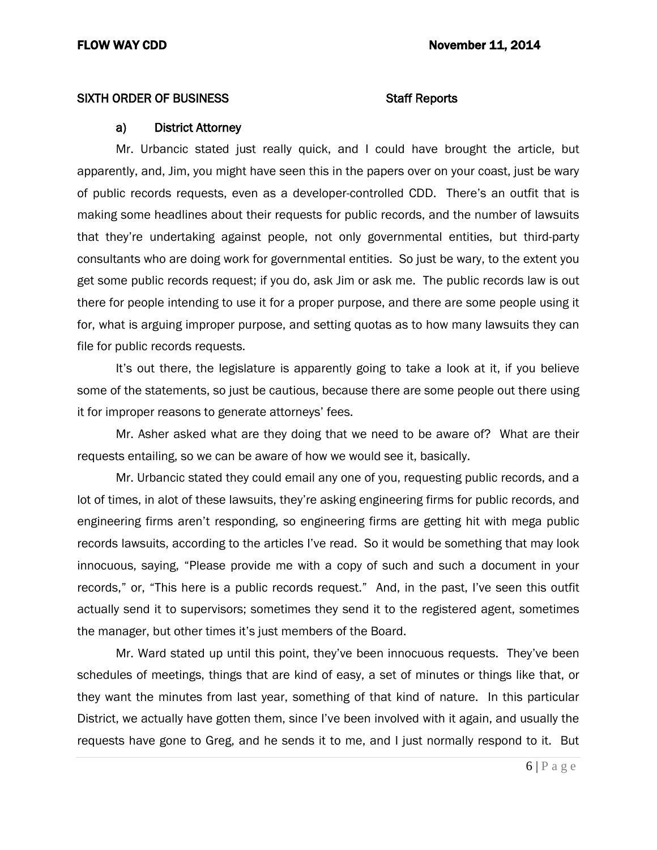## SIXTH ORDER OF BUSINESS STATES STAFF Reports

### a) District Attorney

Mr. Urbancic stated just really quick, and I could have brought the article, but apparently, and, Jim, you might have seen this in the papers over on your coast, just be wary of public records requests, even as a developer-controlled CDD. There's an outfit that is making some headlines about their requests for public records, and the number of lawsuits that they're undertaking against people, not only governmental entities, but third-party consultants who are doing work for governmental entities. So just be wary, to the extent you get some public records request; if you do, ask Jim or ask me. The public records law is out there for people intending to use it for a proper purpose, and there are some people using it for, what is arguing improper purpose, and setting quotas as to how many lawsuits they can file for public records requests.

It's out there, the legislature is apparently going to take a look at it, if you believe some of the statements, so just be cautious, because there are some people out there using it for improper reasons to generate attorneys' fees.

Mr. Asher asked what are they doing that we need to be aware of? What are their requests entailing, so we can be aware of how we would see it, basically.

Mr. Urbancic stated they could email any one of you, requesting public records, and a lot of times, in alot of these lawsuits, they're asking engineering firms for public records, and engineering firms aren't responding, so engineering firms are getting hit with mega public records lawsuits, according to the articles I've read. So it would be something that may look innocuous, saying, "Please provide me with a copy of such and such a document in your records," or, "This here is a public records request." And, in the past, I've seen this outfit actually send it to supervisors; sometimes they send it to the registered agent, sometimes the manager, but other times it's just members of the Board.

Mr. Ward stated up until this point, they've been innocuous requests. They've been schedules of meetings, things that are kind of easy, a set of minutes or things like that, or they want the minutes from last year, something of that kind of nature. In this particular District, we actually have gotten them, since I've been involved with it again, and usually the requests have gone to Greg, and he sends it to me, and I just normally respond to it. But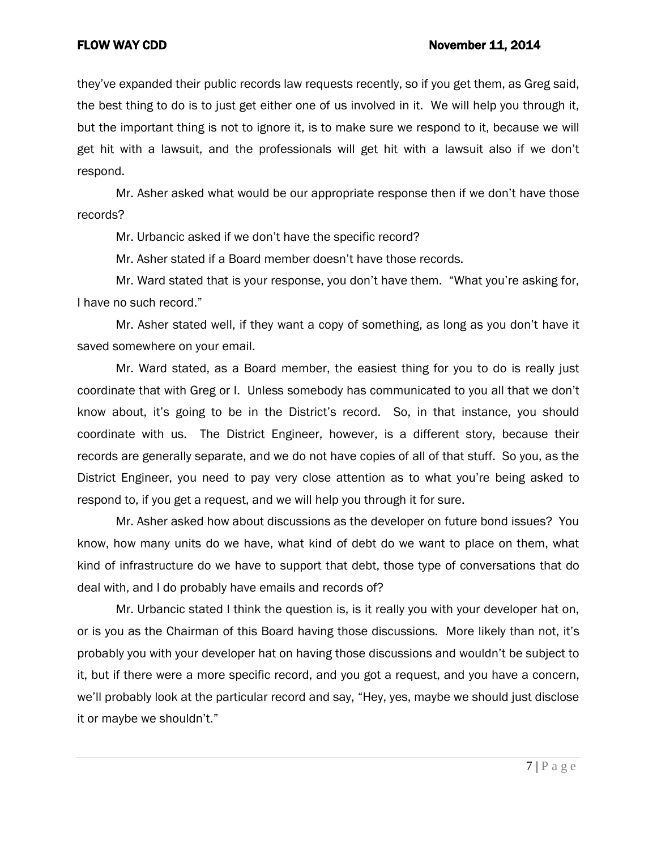they've expanded their public records law requests recently, so if you get them, as Greg said, the best thing to do is to just get either one of us involved in it. We will help you through it, but the important thing is not to ignore it, is to make sure we respond to it, because we will get hit with a lawsuit, and the professionals will get hit with a lawsuit also if we don't respond.

Mr. Asher asked what would be our appropriate response then if we don't have those records?

Mr. Urbancic asked if we don't have the specific record?

Mr. Asher stated if a Board member doesn't have those records.

Mr. Ward stated that is your response, you don't have them. "What you're asking for, I have no such record."

Mr. Asher stated well, if they want a copy of something, as long as you don't have it saved somewhere on your email.

Mr. Ward stated, as a Board member, the easiest thing for you to do is really just coordinate that with Greg or I. Unless somebody has communicated to you all that we don't know about, it's going to be in the District's record. So, in that instance, you should coordinate with us. The District Engineer, however, is a different story, because their records are generally separate, and we do not have copies of all of that stuff. So you, as the District Engineer, you need to pay very close attention as to what you're being asked to respond to, if you get a request, and we will help you through it for sure.

Mr. Asher asked how about discussions as the developer on future bond issues? You know, how many units do we have, what kind of debt do we want to place on them, what kind of infrastructure do we have to support that debt, those type of conversations that do deal with, and I do probably have emails and records of?

Mr. Urbancic stated I think the question is, is it really you with your developer hat on, or is you as the Chairman of this Board having those discussions. More likely than not, it's probably you with your developer hat on having those discussions and wouldn't be subject to it, but if there were a more specific record, and you got a request, and you have a concern, we'll probably look at the particular record and say, "Hey, yes, maybe we should just disclose it or maybe we shouldn't."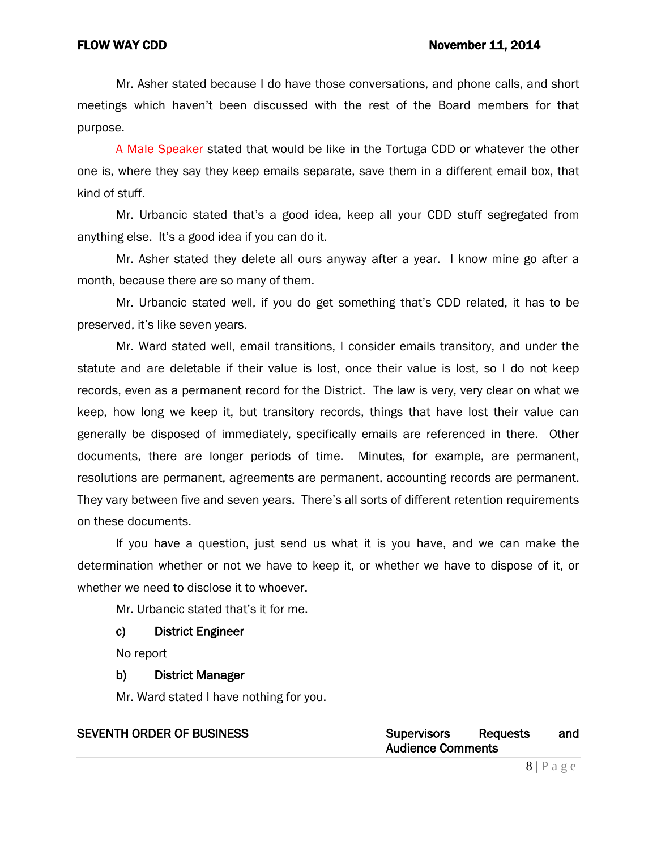Mr. Asher stated because I do have those conversations, and phone calls, and short meetings which haven't been discussed with the rest of the Board members for that purpose.

A Male Speaker stated that would be like in the Tortuga CDD or whatever the other one is, where they say they keep emails separate, save them in a different email box, that kind of stuff.

Mr. Urbancic stated that's a good idea, keep all your CDD stuff segregated from anything else. It's a good idea if you can do it.

Mr. Asher stated they delete all ours anyway after a year. I know mine go after a month, because there are so many of them.

Mr. Urbancic stated well, if you do get something that's CDD related, it has to be preserved, it's like seven years.

Mr. Ward stated well, email transitions, I consider emails transitory, and under the statute and are deletable if their value is lost, once their value is lost, so I do not keep records, even as a permanent record for the District. The law is very, very clear on what we keep, how long we keep it, but transitory records, things that have lost their value can generally be disposed of immediately, specifically emails are referenced in there. Other documents, there are longer periods of time. Minutes, for example, are permanent, resolutions are permanent, agreements are permanent, accounting records are permanent. They vary between five and seven years. There's all sorts of different retention requirements on these documents.

If you have a question, just send us what it is you have, and we can make the determination whether or not we have to keep it, or whether we have to dispose of it, or whether we need to disclose it to whoever.

Mr. Urbancic stated that's it for me.

## c) District Engineer

No report

## b) District Manager

Mr. Ward stated I have nothing for you.

| <b>Supervisors</b> | Requests                 | and |  |  |  |  |
|--------------------|--------------------------|-----|--|--|--|--|
|                    | <b>Audience Comments</b> |     |  |  |  |  |

# **SEVENTH ORDER OF BUSINESS**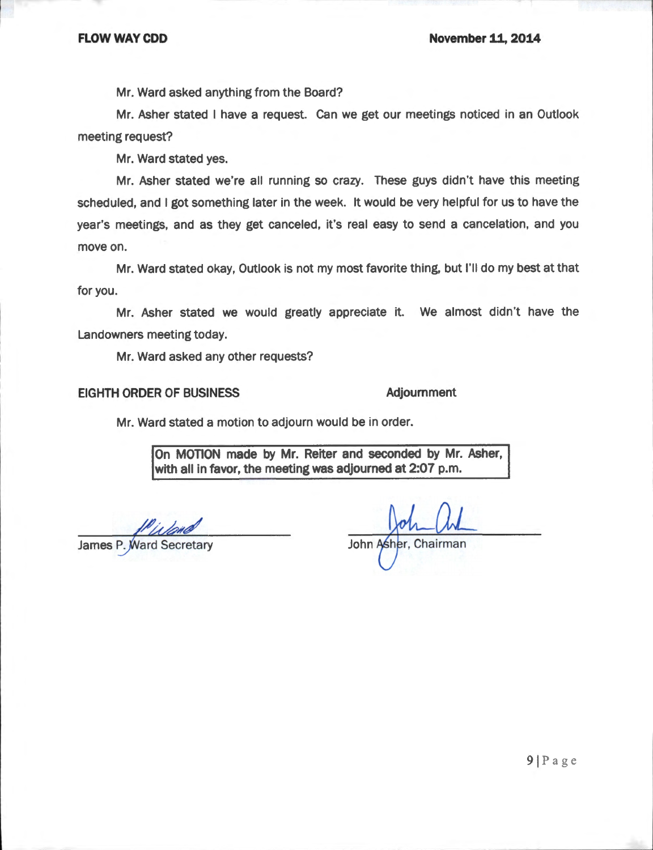Mr. Ward asked anything from the Board?

Mr. Asher stated I have a request. Can we get our meetings noticed in an Outlook meeting request?

Mr. Ward stated yes.

Mr. Asher stated we're all running so crazy. These guys didn't have this meeting scheduled, and I got something later in the week. It would be very helpful for us to have the year's meetings, and as they get canceled, it's real easy to send a cancelation, and you move on.

Mr. Ward stated okay, Outlook is not my most favorite thing, but I'll do my best at that for you.

Mr. Asher stated we would greatly appreciate it. We almost didn't have the Landowners meeting today.

Mr. Ward asked any other requests?

### **EIGHTH ORDER OF BUSINESS**

## **Adjournment**

Mr. Ward stated a motion to adjourn would be in order.

On MOTION made by Mr. Reiter and seconded by Mr. Asher, with all in favor, the meeting was adjourned at 2:07 p.m.

**James P. Ward Secretary** 

John Asher, Chairman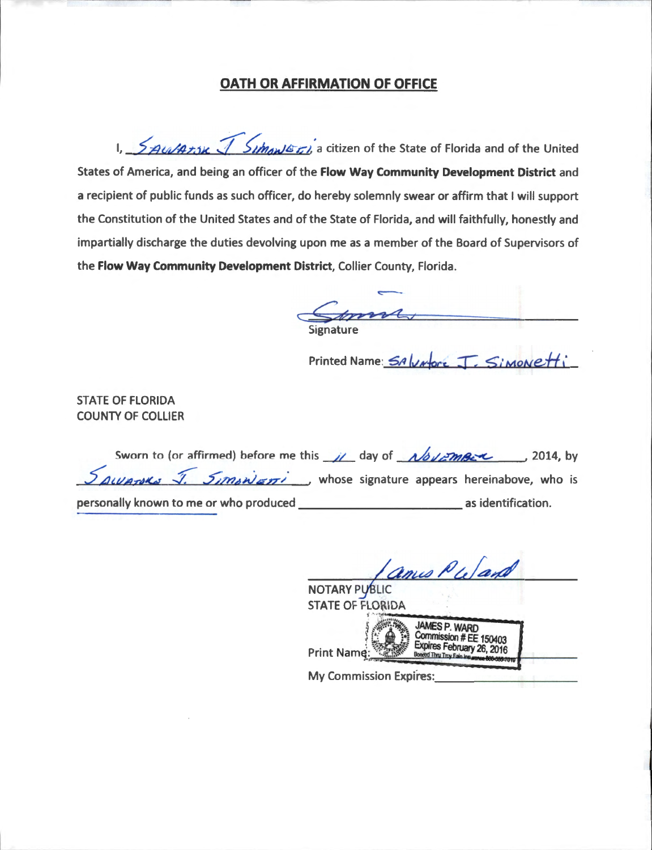# **OATH OR AFFIRMATION OF OFFICE**

1,  $\frac{1}{2}$  Au/Atsk  $\sqrt{2}$  Simonic ti, a citizen of the State of Florida and of the United States of America, and being an officer of the Flow Way Community Development District and a recipient of public funds as such officer, do hereby solemnly swear or affirm that I will support the Constitution of the United States and of the State of Florida, and will faithfully, honestly and impartially discharge the duties devolving upon me as a member of the Board of Supervisors of the Flow Way Community Development District, Collier County, Florida.

Printed Name: SA Water J. Simonetti

**STATE OF FLORIDA COUNTY OF COLLIER** 

| Sworn to (or affirmed) before me this $\mu$ day of $\mu$ by $\mu$ mere 12014, by                          |  |                    |  |
|-----------------------------------------------------------------------------------------------------------|--|--------------------|--|
| $\frac{S_{AUP}\left(\mu\right)}{S_{I}M_{B}N_{B}N_{B}N_{B}}$ , whose signature appears hereinabove, who is |  |                    |  |
| personally known to me or who produced                                                                    |  | as identification. |  |

amis Puland

**NOTARY PUBLIC STATE OF FLORIDA** JAMES P. WARD<br>Commission # EE 150403<br>Expires February 26, 2016 Print Name: ed Thru Troy Fain I

**My Commission Expires:**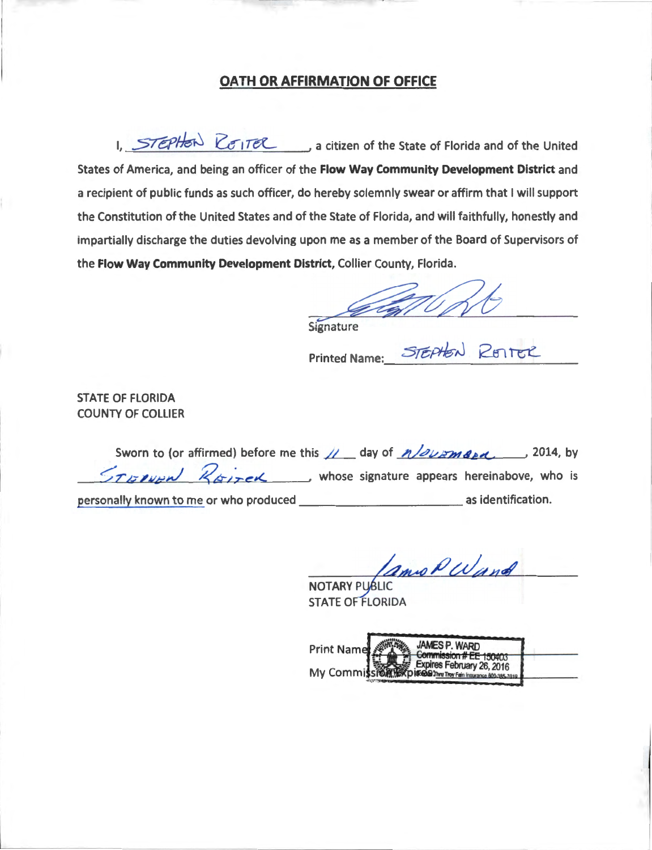# OATH OR AFFIRMATION OF OFFICE

1. STEPHEN REITER, a citizen of the State of Florida and of the United States of America, and being an officer of the Flow Way Community Development District and a recipient of public funds as such officer, do hereby solemnly swear or affirm that I will support the Constitution of the United States and of the State of Florida, and will faithfully, honestly and impartially discharge the duties devolving upon me as a member of the Board of Supervisors of the Flow Way Community Development District, Collier County, Florida.

*feligt 6* 

STEPHEN RESTER

Signature

**Printed Name:** 

**STATE OF FLORIDA COUNTY OF COLLIER** 

Sworn to (or affirmed) before me this  $\sqrt{ }$  day of  $n$ /*ourmand*, 2014, by  $\leq$ T Is over  $\mathbb{Z}_{\sigma}$   $\rightarrow$  whose signature appears hereinabove, who is 

LamoPWand

NOTARY PUBLIC STATE OF FLORIDA

**Print Name** v 26, 2016 **My Commi** y Fain Insurance 800-385-7